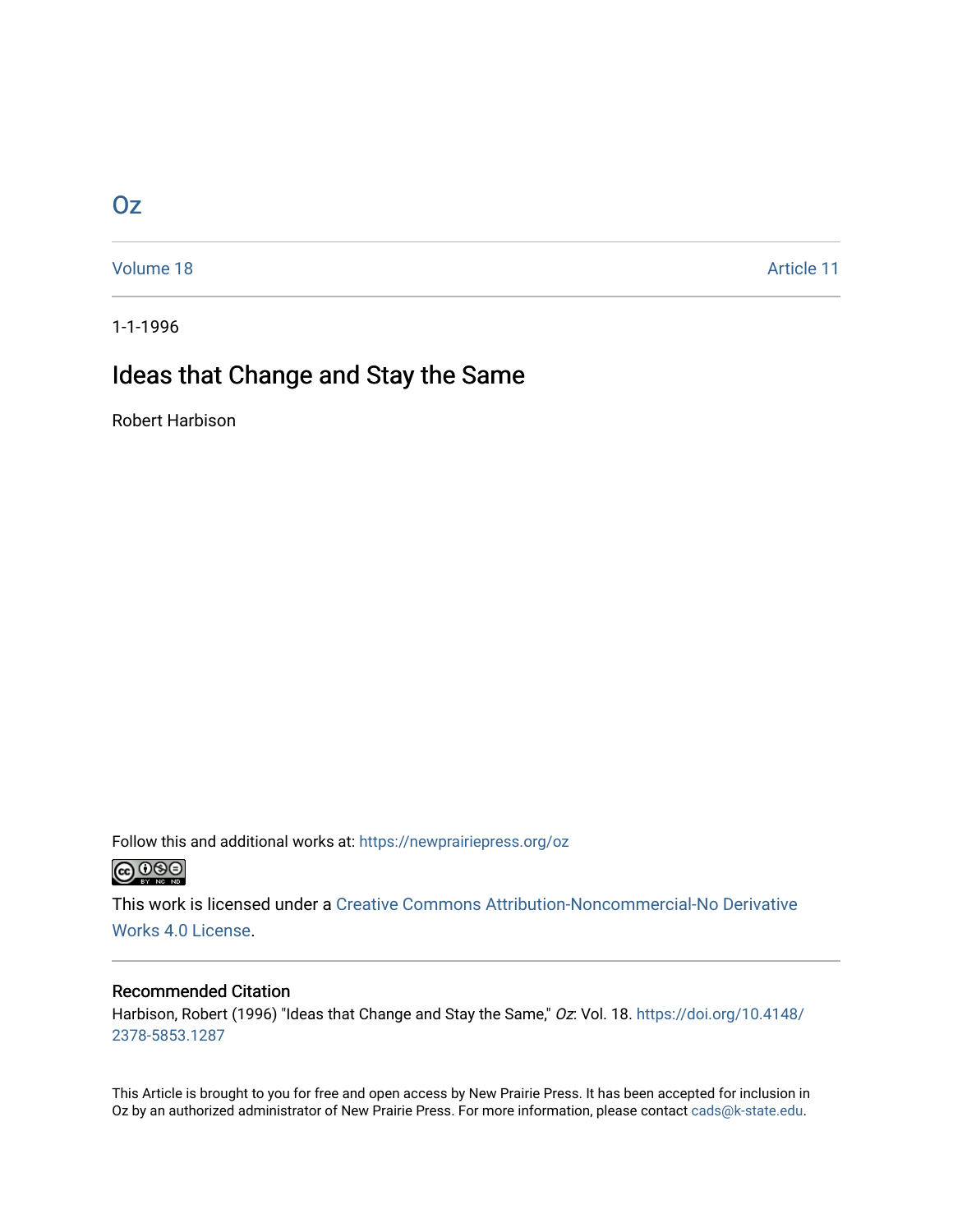## [Oz](https://newprairiepress.org/oz)

[Volume 18](https://newprairiepress.org/oz/vol18) Article 11

1-1-1996

# Ideas that Change and Stay the Same

Robert Harbison

Follow this and additional works at: [https://newprairiepress.org/oz](https://newprairiepress.org/oz?utm_source=newprairiepress.org%2Foz%2Fvol18%2Fiss1%2F11&utm_medium=PDF&utm_campaign=PDFCoverPages) 



This work is licensed under a [Creative Commons Attribution-Noncommercial-No Derivative](https://creativecommons.org/licenses/by-nc-nd/4.0/)  [Works 4.0 License](https://creativecommons.org/licenses/by-nc-nd/4.0/).

#### Recommended Citation

Harbison, Robert (1996) "Ideas that Change and Stay the Same," Oz: Vol. 18. [https://doi.org/10.4148/](https://doi.org/10.4148/2378-5853.1287) [2378-5853.1287](https://doi.org/10.4148/2378-5853.1287) 

This Article is brought to you for free and open access by New Prairie Press. It has been accepted for inclusion in Oz by an authorized administrator of New Prairie Press. For more information, please contact [cads@k-state.edu](mailto:cads@k-state.edu).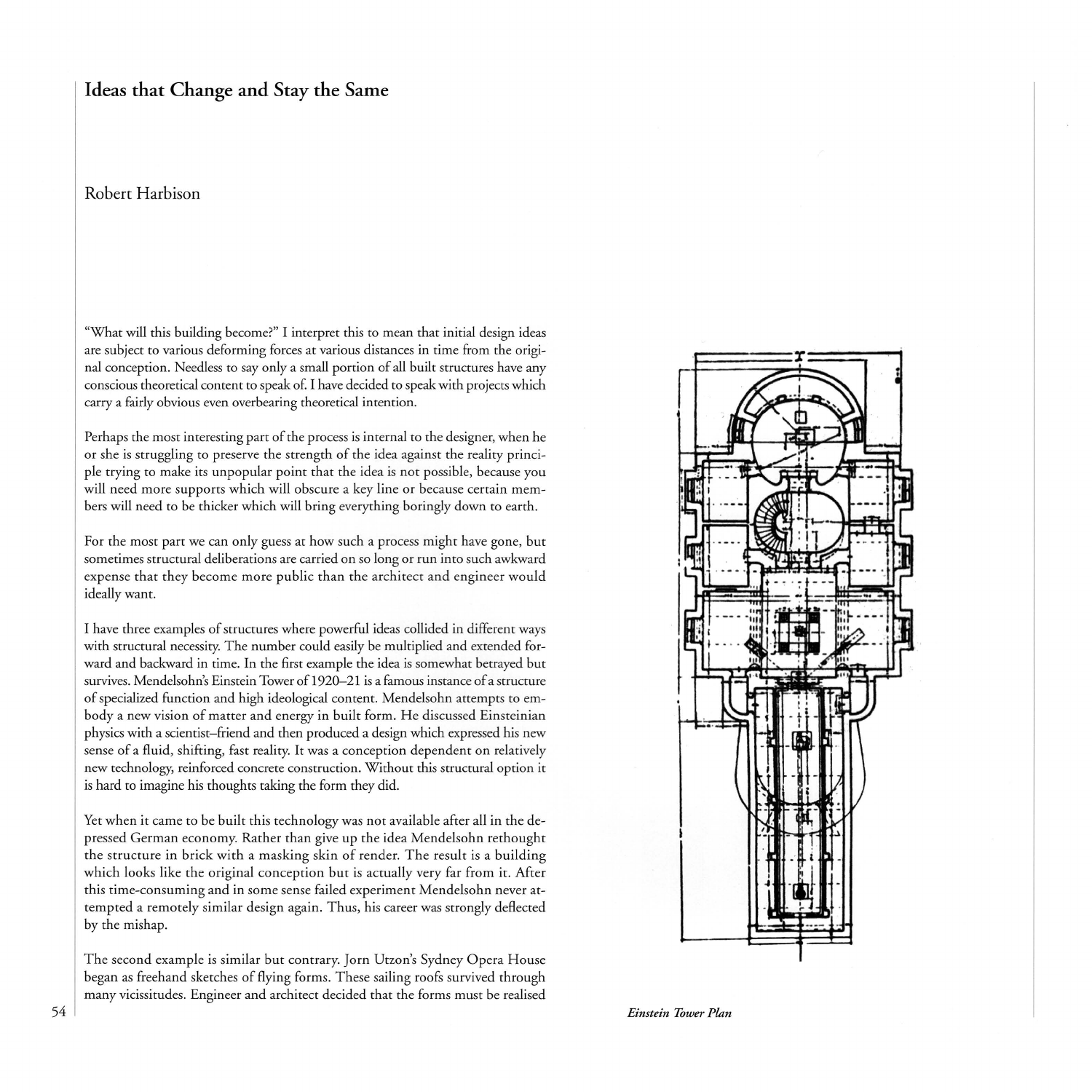### **Ideas that Change and Stay the Same**

#### Robert Harbison

"What will this building become?" I interpret this to mean that initial design ideas are subject to various deforming forces at various distances in time from the original conception. Needless to say only a small portion of all built structures have any conscious theoretical content to speak of. I have decided to speak with projects which carry a fairly obvious even overbearing theoretical intention.

Perhaps the most interesting part of the process is internal to the designer, when he or she is struggling to preserve the strength of the idea against the reality principle trying to make its unpopular point that the idea is not possible, because you will need more supports which will obscure a key line or because certain members will need to be thicker which will bring everything boringly down to earth.

For the most part we can only guess at how such a process might have gone, but sometimes structural deliberations are carried on so long or run into such awkward expense that they become more public than the architect and engineer would ideally want.

I have three examples of structures where powerful ideas collided in different ways with structural necessity. The number could easily be multiplied and extended forward and backward in time. In the first example the idea is somewhat betrayed but survives. Mendelsohn's Einstein Tower of 1920-21 is a famous instance of a structure of specialized function and high ideological content. Mendelsohn attempts to embody a new vision of matter and energy in built form. He discussed Einsteinian physics with a scientist-friend and then produced a design which expressed his new sense of a fluid, shifting, fast reality. It was a conception dependent on relatively new technology, reinforced concrete construction. Without this structural option it is hard to imagine his thoughts taking the form they did.

Yet when it came to be built this technology was not available after all in the depressed German economy. Rather than give up the idea Mendelsohn rethought the structure in brick with a masking skin of render. The result is a building which looks like the original conception but is actually very far from it. After this time-consuming and in some sense failed experiment Mendelsohn never attempted a remotely similar design again. Thus, his career was strongly deflected by the mishap.

The second example is similar but contrary. Jorn Utzon's Sydney Opera House began as freehand sketches of flying forms. These sailing roofs survived through many vicissitudes. Engineer and architect decided that the forms must be realised



*Einstein Tower Plan*